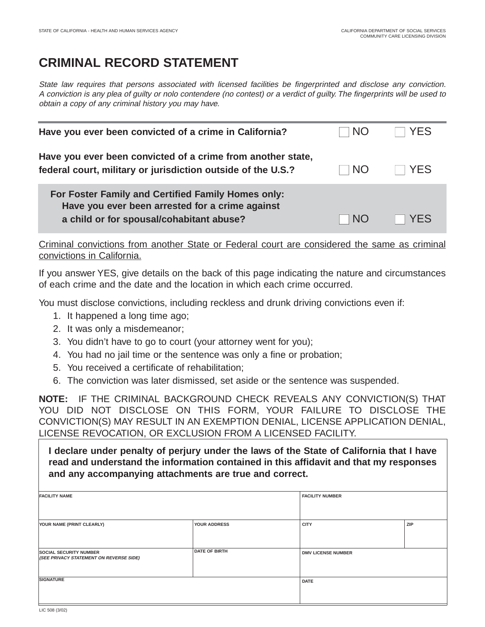## **CRIMINAL RECORD STATEMENT**

State law requires that persons associated with licensed facilities be fingerprinted and disclose any conviction. A conviction is any plea of guilty or nolo contendere (no contest) or a verdict of guilty. The fingerprints will be used to obtain a copy of any criminal history you may have.

| Have you ever been convicted of a crime in California?                                                                                            | <b>NO</b> | YFS  |
|---------------------------------------------------------------------------------------------------------------------------------------------------|-----------|------|
| Have you ever been convicted of a crime from another state,<br>federal court, military or jurisdiction outside of the U.S.?                       | <b>NO</b> | YFS. |
| For Foster Family and Certified Family Homes only:<br>Have you ever been arrested for a crime against<br>a child or for spousal/cohabitant abuse? | NO        | YFS  |

Criminal convictions from another State or Federal court are considered the same as criminal convictions in California.

If you answer YES, give details on the back of this page indicating the nature and circumstances of each crime and the date and the location in which each crime occurred.

You must disclose convictions, including reckless and drunk driving convictions even if:

- 1. It happened a long time ago;
- 2. It was only a misdemeanor;
- 3. You didn't have to go to court (your attorney went for you);
- 4. You had no jail time or the sentence was only a fine or probation;
- 5. You received a certificate of rehabilitation;
- 6. The conviction was later dismissed, set aside or the sentence was suspended.

**NOTE:** IF THE CRIMINAL BACKGROUND CHECK REVEALS ANY CONVICTION(S) THAT YOU DID NOT DISCLOSE ON THIS FORM, YOUR FAILURE TO DISCLOSE THE CONVICTION(S) MAY RESULT IN AN EXEMPTION DENIAL, LICENSE APPLICATION DENIAL, LICENSE REVOCATION, OR EXCLUSION FROM A LICENSED FACILITY.

**I declare under penalty of perjury under the laws of the State of California that I have read and understand the information contained in this affidavit and that my responses and any accompanying attachments are true and correct.**

| <b>FACILITY NAME</b>                                                     |                      | <b>FACILITY NUMBER</b>    |     |
|--------------------------------------------------------------------------|----------------------|---------------------------|-----|
|                                                                          |                      |                           |     |
| YOUR NAME (PRINT CLEARLY)                                                | YOUR ADDRESS         | <b>CITY</b>               | ZIP |
| <b>SOCIAL SECURITY NUMBER</b><br>(SEE PRIVACY STATEMENT ON REVERSE SIDE) | <b>DATE OF BIRTH</b> | <b>DMV LICENSE NUMBER</b> |     |
| <b>SIGNATURE</b>                                                         |                      | <b>DATE</b>               |     |